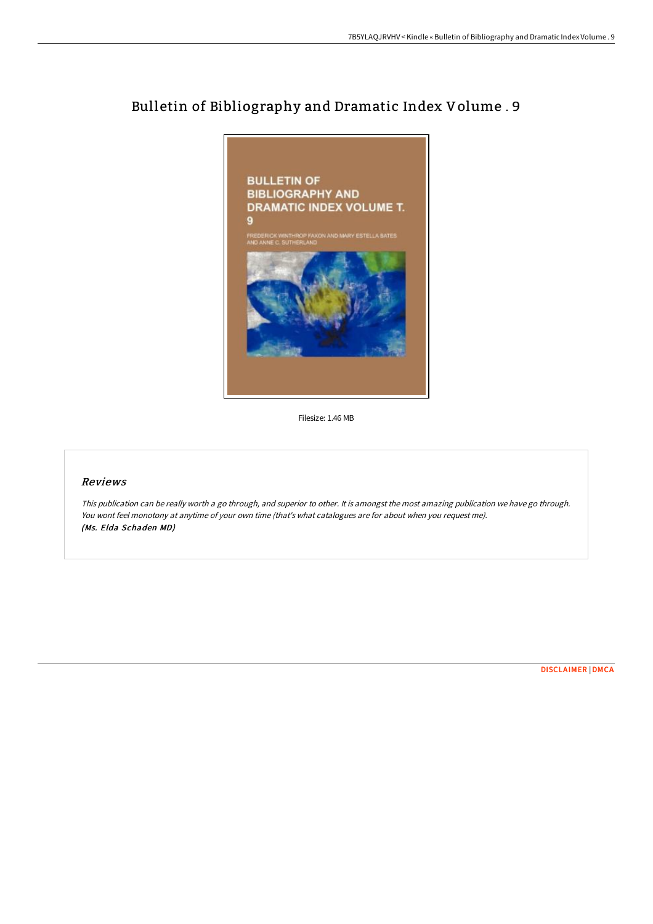# Bulletin of Bibliography and Dramatic Index Volume . 9



Filesize: 1.46 MB

## Reviews

This publication can be really worth <sup>a</sup> go through, and superior to other. It is amongst the most amazing publication we have go through. You wont feel monotony at anytime of your own time (that's what catalogues are for about when you request me). (Ms. Elda Schaden MD)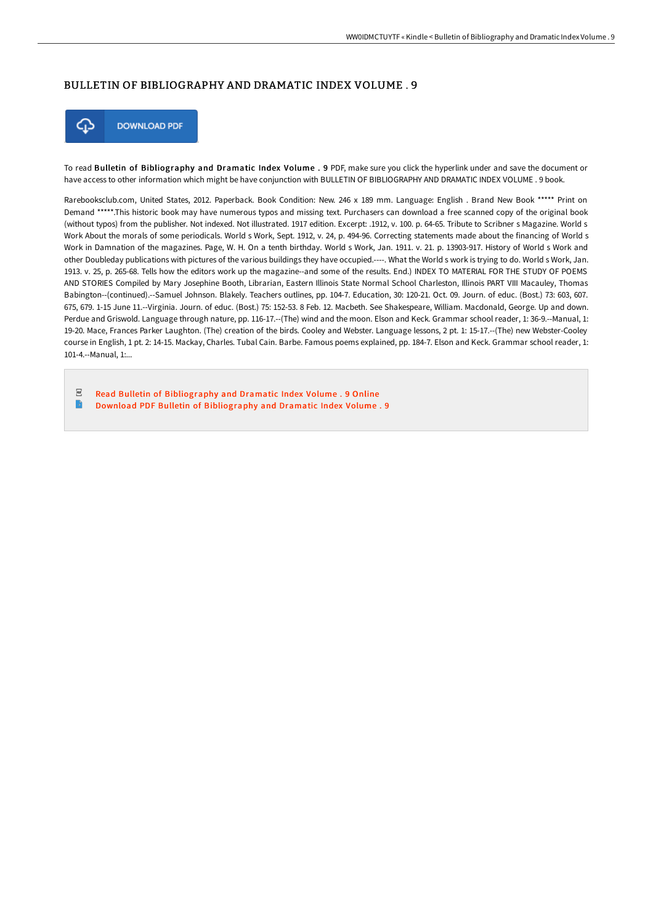### BULLETIN OF BIBLIOGRAPHY AND DRAMATIC INDEX VOLUME . 9



To read Bulletin of Bibliography and Dramatic Index Volume . 9 PDF, make sure you click the hyperlink under and save the document or have access to other information which might be have conjunction with BULLETIN OF BIBLIOGRAPHY AND DRAMATIC INDEX VOLUME . 9 book.

Rarebooksclub.com, United States, 2012. Paperback. Book Condition: New. 246 x 189 mm. Language: English . Brand New Book \*\*\*\*\* Print on Demand \*\*\*\*\*.This historic book may have numerous typos and missing text. Purchasers can download a free scanned copy of the original book (without typos) from the publisher. Not indexed. Not illustrated. 1917 edition. Excerpt: .1912, v. 100. p. 64-65. Tribute to Scribner s Magazine. World s Work About the morals of some periodicals. World s Work, Sept. 1912, v. 24, p. 494-96. Correcting statements made about the financing of World s Work in Damnation of the magazines. Page, W. H. On a tenth birthday. World s Work, Jan. 1911. v. 21. p. 13903-917. History of World s Work and other Doubleday publications with pictures of the various buildings they have occupied.----. What the World s work is trying to do. World s Work, Jan. 1913. v. 25, p. 265-68. Tells how the editors work up the magazine--and some of the results. End.) INDEX TO MATERIAL FOR THE STUDY OF POEMS AND STORIES Compiled by Mary Josephine Booth, Librarian, Eastern Illinois State Normal School Charleston, Illinois PART VIII Macauley, Thomas Babington--(continued).--Samuel Johnson. Blakely. Teachers outlines, pp. 104-7. Education, 30: 120-21. Oct. 09. Journ. of educ. (Bost.) 73: 603, 607. 675, 679. 1-15 June 11.--Virginia. Journ. of educ. (Bost.) 75: 152-53. 8 Feb. 12. Macbeth. See Shakespeare, William. Macdonald, George. Up and down. Perdue and Griswold. Language through nature, pp. 116-17.--(The) wind and the moon. Elson and Keck. Grammar school reader, 1: 36-9.--Manual, 1: 19-20. Mace, Frances Parker Laughton. (The) creation of the birds. Cooley and Webster. Language lessons, 2 pt. 1: 15-17.--(The) new Webster-Cooley course in English, 1 pt. 2: 14-15. Mackay, Charles. Tubal Cain. Barbe. Famous poems explained, pp. 184-7. Elson and Keck. Grammar school reader, 1: 101-4.--Manual, 1:...

 $_{\mathrm{PDF}}$ Read Bulletin of [Bibliography](http://techno-pub.tech/bulletin-of-bibliography-and-dramatic-index-volu-1.html) and Dramatic Index Volume . 9 Online  $\Rightarrow$ Download PDF Bulletin of [Bibliography](http://techno-pub.tech/bulletin-of-bibliography-and-dramatic-index-volu-1.html) and Dramatic Index Volume . 9